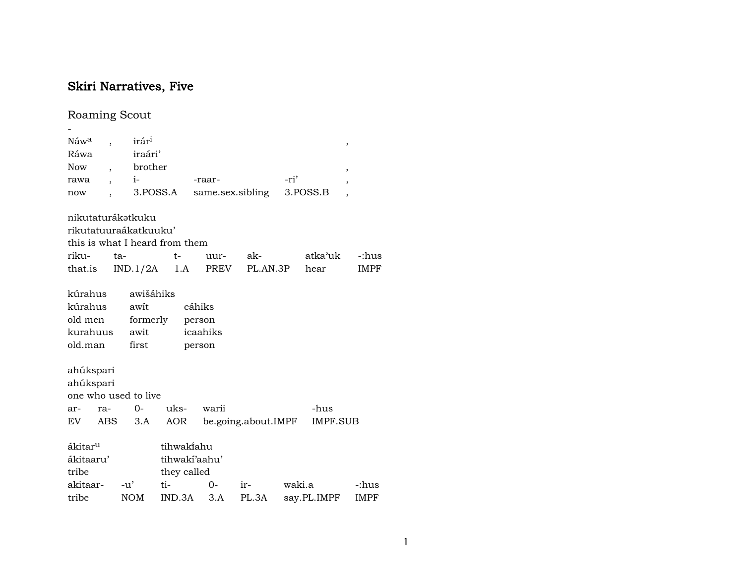## Skiri Narratives, Five

## Roaming Scout

| Náw <sup>a</sup>    | $\overline{ }$ | irár <sup>1</sup>              |               |          |                     |        |             | ,              |
|---------------------|----------------|--------------------------------|---------------|----------|---------------------|--------|-------------|----------------|
| Ráwa                |                | iraári'                        |               |          |                     |        |             |                |
| Now                 |                | brother                        |               |          |                     |        |             | ,              |
| rawa                |                | $i-$                           |               | -raar-   |                     | -ri'   |             |                |
| now                 |                |                                | 3.POSS.A      |          | same.sex.sibling    |        | 3.POSS.B    | $\overline{ }$ |
|                     |                | nikutaturákotkuku              |               |          |                     |        |             |                |
|                     |                | rikutatuuraákatkuuku'          |               |          |                     |        |             |                |
|                     |                | this is what I heard from them |               |          |                     |        |             |                |
| riku-               |                | ta-                            | $t-$          | uur-     | ak-                 |        | atka'uk     | -:hus          |
| that.is             |                | $IND.1/2A$ 1.A                 |               | PREV     | PL.AN.3P            |        | hear        | IMPF           |
| kúrahus             |                | awišáhiks                      |               |          |                     |        |             |                |
| kúrahus             |                | awit                           |               | cáhiks   |                     |        |             |                |
| old men             |                | formerly                       |               | person   |                     |        |             |                |
|                     |                | kurahuus awit                  |               | icaahiks |                     |        |             |                |
| old.man             |                | first                          |               | person   |                     |        |             |                |
| ahúkspari           |                |                                |               |          |                     |        |             |                |
| ahúkspari           |                |                                |               |          |                     |        |             |                |
|                     |                | one who used to live           |               |          |                     |        |             |                |
| ar-                 | ra-            | $O-$                           | uks-          | warii    |                     |        | -hus        |                |
| EV                  | ABS            | 3.A                            | AOR           |          | be.going.about.IMPF |        | IMPF.SUB    |                |
| ákitar <sup>u</sup> |                |                                | tihwakiahu    |          |                     |        |             |                |
| ákitaaru'           |                |                                | tihwakí'aahu' |          |                     |        |             |                |
| tribe               |                |                                | they called   |          |                     |        |             |                |
| akitaar-            |                | $-u'$                          | ti-           | $0 -$    | ir-                 | waki.a |             | -:hus          |
| tribe               |                | <b>NOM</b>                     | IND.3A        | 3.A      | PL.3A               |        | say.PL.IMPF | IMPF           |
|                     |                |                                |               |          |                     |        |             |                |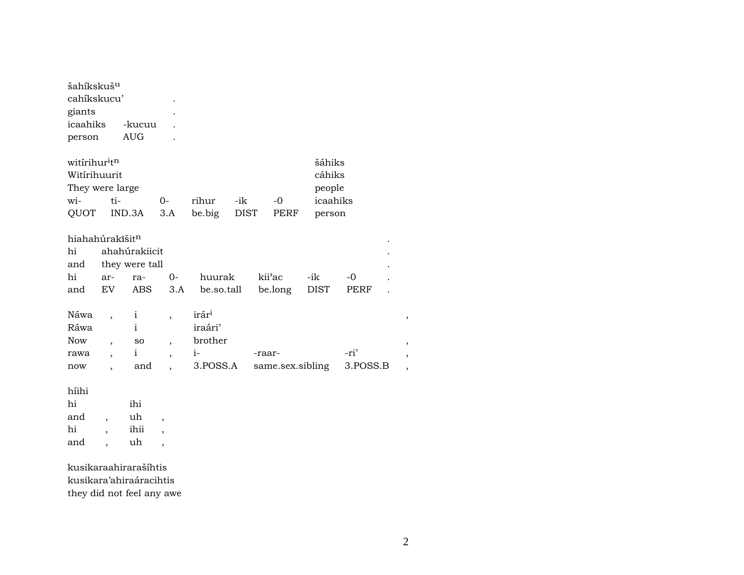| šahíkskuš <sup>u</sup><br>cahíkskucu'<br>giants<br>icaahiks<br>person       |                                                                                       | -kucuu<br><b>AUG</b>                                      |                                                                                  |                                                 |                    |        |                   |                                                  |                     |                  |
|-----------------------------------------------------------------------------|---------------------------------------------------------------------------------------|-----------------------------------------------------------|----------------------------------------------------------------------------------|-------------------------------------------------|--------------------|--------|-------------------|--------------------------------------------------|---------------------|------------------|
| witirihur <sup>i</sup> tn<br>Witírihuurit<br>They were large<br>wi-<br>QUOT | ti-                                                                                   | IND.3A                                                    | $0-$<br>3.A                                                                      | rihur<br>be.big                                 | -ik<br><b>DIST</b> |        | $-0$<br>PERF      | šáhiks<br>cáhiks<br>people<br>icaahiks<br>person |                     |                  |
| hiahahúrakīšitn<br>hi<br>and<br>hi<br>and                                   | ar-<br>EV                                                                             | ahahúrakiicit<br>they were tall<br>ra-<br><b>ABS</b>      | $0-$<br>3.A                                                                      | huurak<br>be.so.tall                            |                    |        | kii'ac<br>be.long | -ik<br><b>DIST</b>                               | $-0$<br><b>PERF</b> |                  |
| Náwa<br>Ráwa<br><b>Now</b><br>rawa<br>now                                   | $\overline{\phantom{a}}$<br>$\overline{\phantom{a}}$<br>$\overline{\phantom{a}}$<br>, | $\mathbf{i}$<br>$\mathbf{i}$<br>SO<br>$\mathbf{i}$<br>and | $\overline{\phantom{a}}$<br>$\overline{\phantom{a}}$<br>$\overline{ }$           | irári<br>iraári'<br>brother<br>$i-$<br>3.POSS.A |                    | -raar- |                   | same.sex.sibling                                 | -ri'<br>3.POSS.B    | ,<br>,<br>,<br>, |
| híihi<br>hi<br>and<br>hi<br>and                                             | $\overline{\phantom{a}}$<br>$\overline{\phantom{a}}$<br>$\ddot{\phantom{0}}$          | ihi<br>uh<br>ihii<br>uh                                   | $\overline{\phantom{a}}$<br>$\overline{\phantom{a}}$<br>$\overline{\phantom{a}}$ |                                                 |                    |        |                   |                                                  |                     |                  |

kusikaraahirarašíhtis kusikara'ahiraáracihtis they did not feel any awe  $\overline{\phantom{a}}$ 

 $\overline{\phantom{a}}$  $, \,$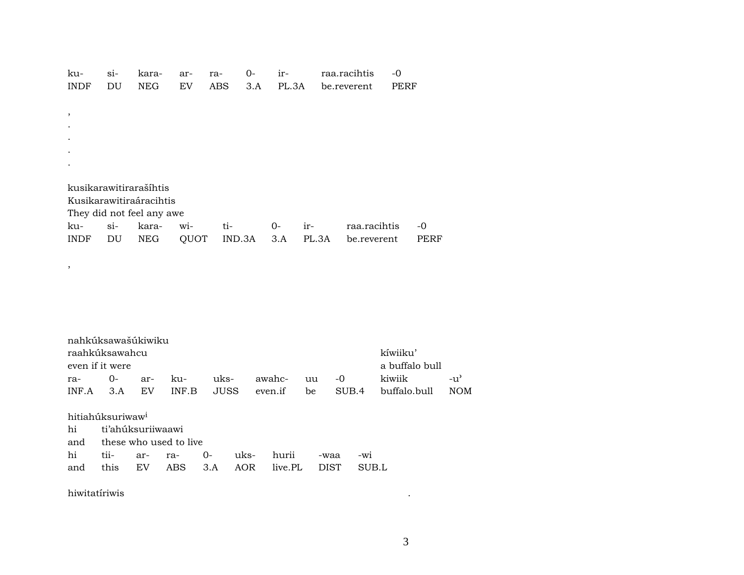| ku-           | si- | kara-                     | ar-  | ra- | 0-     | ir-   |       | raa.racihtis | -0   |      |
|---------------|-----|---------------------------|------|-----|--------|-------|-------|--------------|------|------|
| <b>INDF</b>   | DU  | <b>NEG</b>                | EV   | ABS | 3.A    | PL.3A |       | be.reverent  | PERF |      |
|               |     |                           |      |     |        |       |       |              |      |      |
| $\, ,$        |     |                           |      |     |        |       |       |              |      |      |
|               |     |                           |      |     |        |       |       |              |      |      |
|               |     |                           |      |     |        |       |       |              |      |      |
|               |     |                           |      |     |        |       |       |              |      |      |
|               |     |                           |      |     |        |       |       |              |      |      |
|               |     |                           |      |     |        |       |       |              |      |      |
|               |     |                           |      |     |        |       |       |              |      |      |
|               |     | kusikarawitirarašíhtis    |      |     |        |       |       |              |      |      |
|               |     | Kusikarawitiraáracihtis   |      |     |        |       |       |              |      |      |
|               |     | They did not feel any awe |      |     |        |       |       |              |      |      |
| ku-           | si- | kara-                     | wi-  | ti- |        | $O-$  | ir-   | raa.racihtis |      | $-0$ |
| INDF          | DU  | NEG                       | QUOT |     | IND.3A | 3.A   | PL.3A | be.reverent  |      | PERF |
|               |     |                           |      |     |        |       |       |              |      |      |
|               |     |                           |      |     |        |       |       |              |      |      |
| $^\mathrm{,}$ |     |                           |      |     |        |       |       |              |      |      |
|               |     |                           |      |     |        |       |       |              |      |      |
|               |     |                           |      |     |        |       |       |              |      |      |
|               |     |                           |      |     |        |       |       |              |      |      |
|               |     |                           |      |     |        |       |       |              |      |      |
|               |     |                           |      |     |        |       |       |              |      |      |
|               |     | nahkúksawašúkiwiku        |      |     |        |       |       |              |      |      |

| raahkúksawahcu  |      |                | kíwiiku'    |       |  |                                          |                    |
|-----------------|------|----------------|-------------|-------|--|------------------------------------------|--------------------|
| even if it were |      | a buffalo bull |             |       |  |                                          |                    |
| ra-             | $O-$ | ar- ku-        | uks- awahc- | uu -0 |  | kiwiik                                   | $-11$ <sup>2</sup> |
| INF A           | 3.A  | EV             |             |       |  | INF.B JUSS even.if be SUB.4 buffalo.bull | NOM.               |

hitiahúksuriwaw<sup>i</sup>

| hi ti'ahúksuriiwaawi       |  |  |  |  |                                            |  |  |  |  |  |
|----------------------------|--|--|--|--|--------------------------------------------|--|--|--|--|--|
| and these who used to live |  |  |  |  |                                            |  |  |  |  |  |
|                            |  |  |  |  | hi tii- ar- ra- 0- uks- hurii -waa -wi     |  |  |  |  |  |
|                            |  |  |  |  | and this EV ABS 3.A AOR live.PL DIST SUB.L |  |  |  |  |  |

hiwitatíriwis .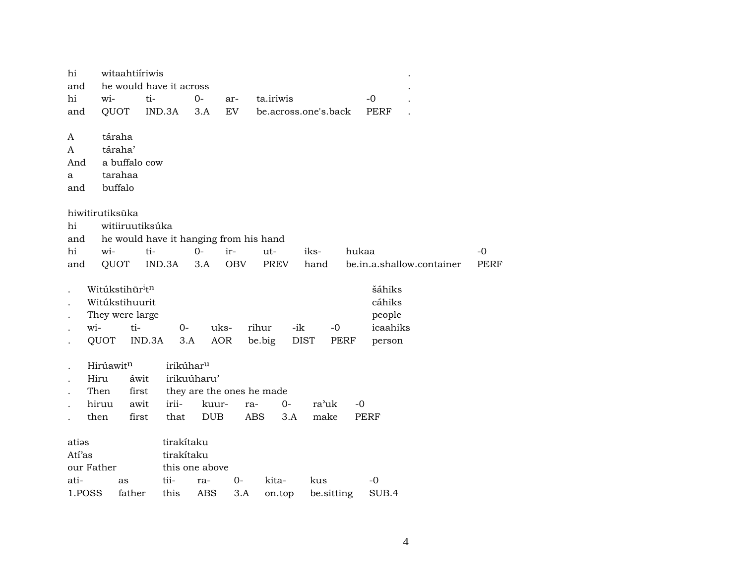| hi         | witaahtiíriwis                          |                         |                                        |            |                   |                      |             |                           |             |
|------------|-----------------------------------------|-------------------------|----------------------------------------|------------|-------------------|----------------------|-------------|---------------------------|-------------|
| and        |                                         | he would have it across |                                        |            |                   |                      |             |                           |             |
| hi         | wi-                                     | ti-                     | $O -$                                  | ar-        | ta.iriwis         |                      | $-0$        |                           |             |
| and        | QUOT                                    | IND.3A                  | 3.A                                    | EV         |                   | be.across.one's.back | PERF        |                           |             |
|            |                                         |                         |                                        |            |                   |                      |             |                           |             |
| A          | táraha                                  |                         |                                        |            |                   |                      |             |                           |             |
| A          | táraha'                                 |                         |                                        |            |                   |                      |             |                           |             |
| And        | a buffalo cow                           |                         |                                        |            |                   |                      |             |                           |             |
| a          | tarahaa                                 |                         |                                        |            |                   |                      |             |                           |             |
| and        | buffalo                                 |                         |                                        |            |                   |                      |             |                           |             |
|            | hiwitirutiksūka                         |                         |                                        |            |                   |                      |             |                           |             |
| hi         |                                         | witiiruutiksúka         |                                        |            |                   |                      |             |                           |             |
| and        |                                         |                         | he would have it hanging from his hand |            |                   |                      |             |                           |             |
| hi         | wi-                                     | ti-                     | $0-$                                   | ir-        | ut-               | iks-                 | hukaa       |                           | -0          |
| and        | QUOT                                    | IND.3A                  | 3.A                                    | <b>OBV</b> | PREV              | hand                 |             | be.in.a.shallow.container | <b>PERF</b> |
|            |                                         |                         |                                        |            |                   |                      |             |                           |             |
|            | Witúkstihūr <sup>i</sup> t <sup>n</sup> |                         |                                        |            |                   |                      | šáhiks      |                           |             |
|            | Witúkstihuurit                          |                         |                                        |            |                   |                      | cáhiks      |                           |             |
|            | They were large                         |                         |                                        |            |                   |                      | people      |                           |             |
|            | wi-                                     | ti-                     | $O-$                                   | uks-       | rihur<br>-ik      | $-0$                 | icaahiks    |                           |             |
|            | QUOT                                    | IND.3A                  | 3.A                                    | <b>AOR</b> | be.big            | <b>DIST</b><br>PERF  | person      |                           |             |
|            |                                         |                         |                                        |            |                   |                      |             |                           |             |
|            | Hirúawitn                               |                         | irikúhar <sup>u</sup>                  |            |                   |                      |             |                           |             |
|            | Hiru                                    | áwit                    | irikuúharu'                            |            |                   |                      |             |                           |             |
|            | Then                                    | first                   | they are the ones he made              |            |                   |                      |             |                           |             |
|            | hiruu                                   | irii-<br>awit           | kuur-                                  | ra-        | $0-$              | ra'uk                | $-0$        |                           |             |
|            | then                                    | first                   | that<br><b>DUB</b>                     |            | <b>ABS</b><br>3.A | make                 | <b>PERF</b> |                           |             |
| atias      |                                         |                         | tirakítaku                             |            |                   |                      |             |                           |             |
| Atí'as     |                                         |                         | tirakítaku                             |            |                   |                      |             |                           |             |
|            |                                         |                         |                                        |            |                   |                      |             |                           |             |
| our Father |                                         |                         | this one above                         |            |                   |                      |             |                           |             |
| ati-       | as                                      | tii-                    | ra-                                    | $0-$       | kita-             | kus                  | -0          |                           |             |
| 1.POSS     | father                                  | this                    | <b>ABS</b>                             | 3.A        | on.top            | be.sitting           | SUB.4       |                           |             |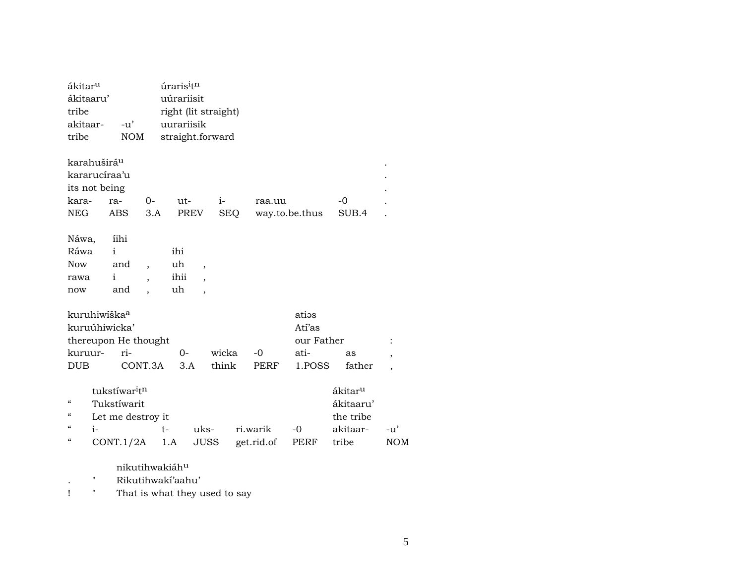| ákitar <sup>u</sup>      |                                       |            | úraris <sup>i</sup> t <sup>n</sup>                                    |                          |       |            |                |                     |                          |
|--------------------------|---------------------------------------|------------|-----------------------------------------------------------------------|--------------------------|-------|------------|----------------|---------------------|--------------------------|
| ákitaaru'                |                                       |            | uúrariisit                                                            |                          |       |            |                |                     |                          |
| tribe                    |                                       |            | right (lit straight)                                                  |                          |       |            |                |                     |                          |
| akitaar-                 | $-u'$                                 |            | uurariisik                                                            |                          |       |            |                |                     |                          |
| tribe                    |                                       | <b>NOM</b> | straight.forward                                                      |                          |       |            |                |                     |                          |
|                          | karahuširá <sup>u</sup>               |            |                                                                       |                          |       |            |                |                     |                          |
|                          | kararucíraa'u                         |            |                                                                       |                          |       |            |                |                     |                          |
|                          | its not being                         |            |                                                                       |                          |       |            |                |                     |                          |
| kara-                    | ra-                                   | 0-         | ut-                                                                   |                          | $i-$  | raa.uu     |                | -0                  |                          |
| <b>NEG</b>               | <b>ABS</b>                            | 3.A        |                                                                       | PREV                     | SEQ   |            | way.to.be.thus | SUB.4               |                          |
| Náwa,                    | íihi                                  |            |                                                                       |                          |       |            |                |                     |                          |
| Ráwa                     | $\mathbf{i}$                          |            | ihi                                                                   |                          |       |            |                |                     |                          |
| <b>Now</b>               | and                                   |            | uh                                                                    | $\overline{\phantom{a}}$ |       |            |                |                     |                          |
| rawa                     | $\mathbf{i}$                          |            | ihii                                                                  | $\cdot$                  |       |            |                |                     |                          |
| now                      | and                                   |            | uh                                                                    | $\overline{\phantom{a}}$ |       |            |                |                     |                          |
|                          | kuruhiwiška <sup>a</sup>              |            |                                                                       |                          |       |            | atias          |                     |                          |
|                          | kuruúhiwicka'                         |            |                                                                       |                          |       |            | Atí'as         |                     |                          |
|                          | thereupon He thought                  |            |                                                                       |                          |       |            | our Father     |                     | :                        |
| kuruur-                  | ri-                                   |            | $0-$                                                                  |                          | wicka | $-0$       | ati-           | as                  | ,                        |
| <b>DUB</b>               |                                       | CONT.3A    | 3.A                                                                   |                          | think | PERF       | 1.POSS         | father              | $\overline{\phantom{a}}$ |
|                          | tukstíwar <sup>i</sup> t <sup>n</sup> |            |                                                                       |                          |       |            |                | ákitar <sup>u</sup> |                          |
| "                        | Tukstíwarit                           |            |                                                                       |                          |       |            |                | ákitaaru'           |                          |
| $\mathcal{C}\mathcal{C}$ | Let me destroy it                     |            |                                                                       |                          |       |            |                | the tribe           |                          |
| $\epsilon$               | $i-$                                  |            | $t-$                                                                  | uks-                     |       | ri.warik   | $-0$           | akitaar-            | $-u'$                    |
| $\mathcal{C}\mathcal{C}$ | CONT.1/2A                             |            | 1.A                                                                   | JUSS                     |       | get.rid.of | PERF           | tribe               | <b>NOM</b>               |
|                          |                                       | $-1$       | $\rightarrow$ $\rightarrow$ $\rightarrow$ $\rightarrow$ $\rightarrow$ |                          |       |            |                |                     |                          |

nikutihwakiáh<sup>u</sup>

Rikutihwakí'aahu'  $\mathbf{H}$  $\langle \cdot \rangle$ 

 $\mathbf{I}$  $\sim 100$ That is what they used to say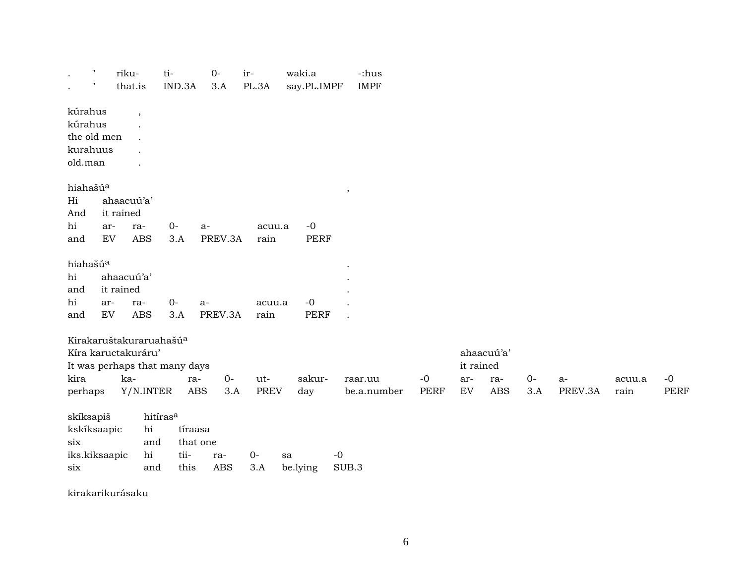| $\pmb{\mathsf{H}}$                                       |           | riku-                                                                          | ti-                                            |                                     | $0-$                        | ir-                       |        | waki.a              |         | -:hus       |              |                                |                                 |             |                 |                |              |
|----------------------------------------------------------|-----------|--------------------------------------------------------------------------------|------------------------------------------------|-------------------------------------|-----------------------------|---------------------------|--------|---------------------|---------|-------------|--------------|--------------------------------|---------------------------------|-------------|-----------------|----------------|--------------|
| $^{\prime}$                                              |           | that.is                                                                        |                                                | IND.3A                              | 3.A                         | PL.3A                     |        | say.PL.IMPF         |         | <b>IMPF</b> |              |                                |                                 |             |                 |                |              |
| kúrahus<br>kúrahus<br>the old men<br>kurahuus<br>old.man |           | $\cdot$                                                                        |                                                |                                     |                             |                           |        |                     |         |             |              |                                |                                 |             |                 |                |              |
| hiahašúa<br>Hi<br>And<br>hi<br>and                       | ar-<br>EV | ahaacuú'a'<br>it rained<br>ra-<br><b>ABS</b>                                   |                                                | $0-$<br>3.A                         | $a-$<br>PREV.3A             | rain                      | acuu.a | $-0$<br><b>PERF</b> | $\, ,$  |             |              |                                |                                 |             |                 |                |              |
| hiahašúa<br>hi<br>and<br>hi<br>and                       | ar-<br>EV | ahaacuú'a'<br>it rained<br>ra-<br><b>ABS</b>                                   |                                                | $0-$<br>3.A                         | $a-$<br>PREV.3A             | rain                      | acuu.a | $-0$<br><b>PERF</b> |         |             |              |                                |                                 |             |                 |                |              |
| It was perhaps that many days<br>kira<br>perhaps         |           | Kirakaruštakuraruahašú <sup>a</sup><br>Kíra kaructakuráru'<br>ka-<br>Y/N.INTER |                                                | ra-<br>ABS                          | $O -$                       | ut-<br><b>PREV</b><br>3.A |        | sakur-<br>day       | raar.uu | be.a.number | $-0$<br>PERF | it rained<br>ar-<br>${\rm EV}$ | ahaacuú'a'<br>ra-<br><b>ABS</b> | $0-$<br>3.A | $a-$<br>PREV.3A | acuu.a<br>rain | $-0$<br>PERF |
| skíksapiš<br>kskíksaapic<br>six<br>iks.kiksaapic<br>six  |           |                                                                                | hitíras <sup>a</sup><br>hi<br>and<br>hi<br>and | tíraasa<br>that one<br>tii-<br>this | ra-<br>$\operatorname{ABS}$ | $0-$<br>3.A               | sa     | $-0$<br>be.lying    | SUB.3   |             |              |                                |                                 |             |                 |                |              |

kirakarikurásaku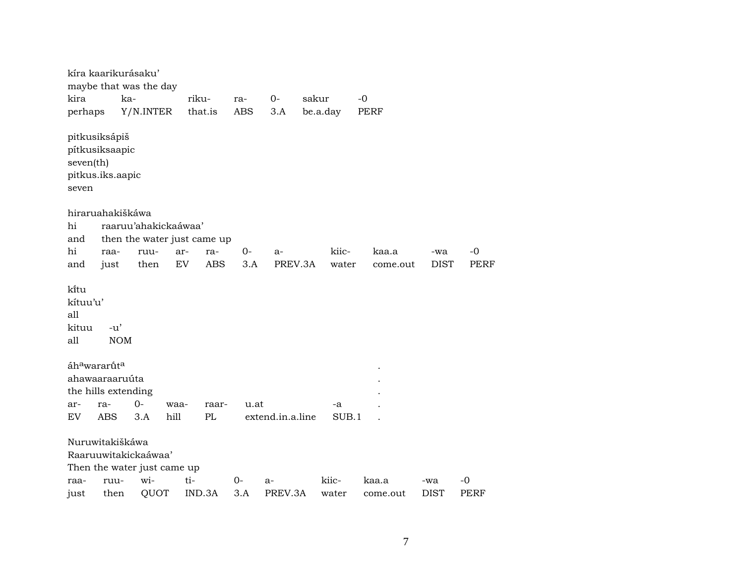|                                           | kíra kaarikurásaku'                                 | maybe that was the day |                             |            |            |                  |       |          |          |             |             |
|-------------------------------------------|-----------------------------------------------------|------------------------|-----------------------------|------------|------------|------------------|-------|----------|----------|-------------|-------------|
| kira                                      | ka-                                                 |                        | riku-                       |            | ra-        | $0-$             | sakur |          | $-0$     |             |             |
| perhaps                                   |                                                     | Y/N.INTER              |                             | that.is    | <b>ABS</b> | 3.A              |       | be.a.day | PERF     |             |             |
| seven(th)<br>seven                        | pitkusiksápiš<br>pítkusiksaapic<br>pitkus.iks.aapic |                        |                             |            |            |                  |       |          |          |             |             |
|                                           | hiraruahakiškáwa                                    |                        |                             |            |            |                  |       |          |          |             |             |
| hi                                        |                                                     |                        | raaruu'ahakickaáwaa'        |            |            |                  |       |          |          |             |             |
| and                                       |                                                     |                        | then the water just came up |            |            |                  |       |          |          |             |             |
| hi                                        | raa-                                                | ruu-                   | ar-                         | ra-        | $0-$       | $a-$             |       | kiic-    | kaa.a    | -wa         | $-0$        |
| and                                       | just                                                | then                   | EV                          | <b>ABS</b> | 3.A        | PREV.3A          |       | water    | come.out | <b>DIST</b> | <b>PERF</b> |
| ki̇̃tu<br>kítuu'u'<br>all<br>kituu<br>all | $-u'$<br><b>NOM</b>                                 |                        |                             |            |            |                  |       |          |          |             |             |
|                                           | áh <sup>a</sup> wararút <sup>a</sup>                |                        |                             |            |            |                  |       |          |          |             |             |
|                                           | ahawaaraaruúta                                      |                        |                             |            |            |                  |       |          |          |             |             |
|                                           | the hills extending                                 |                        |                             |            |            |                  |       |          |          |             |             |
| ar-                                       | ra-                                                 | 0-                     | waa-                        | raar-      | u.at       |                  |       | -a       |          |             |             |
| EV                                        | <b>ABS</b>                                          | 3.A                    | hill                        | PL         |            | extend.in.a.line |       | SUB.1    |          |             |             |
|                                           | Nuruwitakiškáwa                                     | Raaruuwitakickaáwaa'   | Then the water just came up |            |            |                  |       |          |          |             |             |
| raa-                                      | ruu-                                                | wi-                    | ti-                         |            | $0-$       | $a-$             |       | kiic-    | kaa.a    | -wa         | -0          |
| just                                      | then                                                | QUOT                   |                             | IND.3A     | 3.A        | PREV.3A          |       | water    | come.out | <b>DIST</b> | <b>PERF</b> |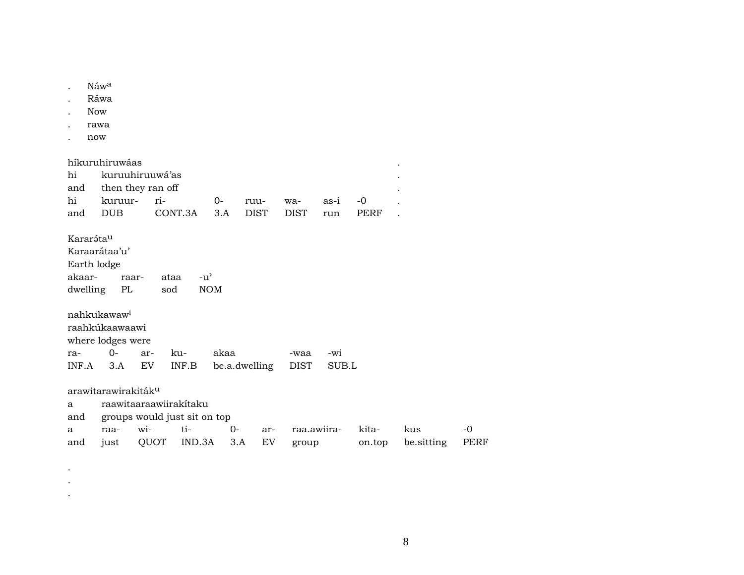|                                 | Náwa<br>Ráwa<br><b>Now</b><br>rawa<br>now                                      |                                                                       |               |             |                     |                      |              |                 |                   |              |
|---------------------------------|--------------------------------------------------------------------------------|-----------------------------------------------------------------------|---------------|-------------|---------------------|----------------------|--------------|-----------------|-------------------|--------------|
| hi<br>and<br>hi<br>and          | híkuruhiruwáas<br>then they ran off<br>kuruur-<br><b>DUB</b>                   | kuruuhiruuwá'as<br>ri-                                                | CONT.3A       | 0-<br>3.A   | ruu-<br><b>DIST</b> | wa-<br><b>DIST</b>   | as-i<br>run  | $-0$<br>PERF    |                   |              |
| Kararátau<br>akaar-<br>dwelling | Karaarátaa'u'<br>Earth lodge<br>raar-<br>PL                                    | ataa<br>sod                                                           | $-u^{\prime}$ | <b>NOM</b>  |                     |                      |              |                 |                   |              |
| ra-<br>INF.A                    | nahkukawaw <sup>i</sup><br>raahkúkaawaawi<br>where lodges were<br>$O -$<br>3.A | ar-<br>EV                                                             | ku-<br>INF.B  | akaa        | be.a.dwelling       | -waa<br><b>DIST</b>  | -wi<br>SUB.L |                 |                   |              |
| a<br>and<br>a<br>and            | arawitarawirakiták <sup>u</sup><br>raa-<br>just                                | raawitaaraawiirakitaku<br>groups would just sit on top<br>wi-<br>QUOT | ti-<br>IND.3A | $0-$<br>3.A | ar-<br>EV           | raa.awiira-<br>group |              | kita-<br>on.top | kus<br>be.sitting | $-0$<br>PERF |

 $\bullet$  $\sim$  $\mathcal{A}^{\pm}$ 

 $\,8\,$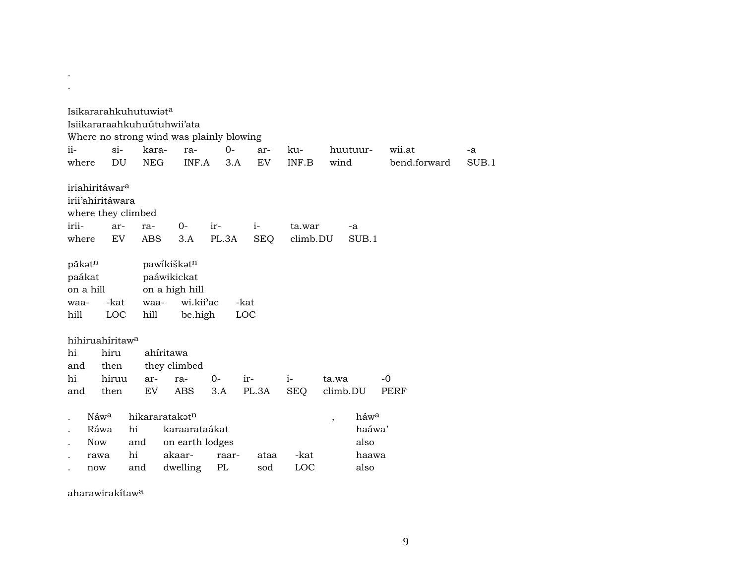|                                  |                                                | Isikararahkuhutuwiata | Isiikararaahkuhuútuhwii'ata<br>Where no strong wind was plainly blowing |              |             |              |                                  |                        |             |
|----------------------------------|------------------------------------------------|-----------------------|-------------------------------------------------------------------------|--------------|-------------|--------------|----------------------------------|------------------------|-------------|
| ii-<br>where                     | $\sin$<br>DU                                   | kara-<br><b>NEG</b>   | ra-<br>INF.A                                                            | $O -$<br>3.A | ar-<br>EV   | ku-<br>INF.B | huutuur-<br>wind                 | wii.at<br>bend.forward | -a<br>SUB.1 |
|                                  | iriahiritáwar <sup>a</sup><br>irii'ahiritáwara | where they climbed    |                                                                         |              |             |              |                                  |                        |             |
| irii-                            | ar-                                            | ra-                   | $0-$                                                                    | ir-          | $i-$        | ta.war       | -a                               |                        |             |
| where                            | EV                                             | <b>ABS</b>            | 3.A                                                                     | PL.3A        | <b>SEQ</b>  | climb.DU     | SUB.1                            |                        |             |
| pākotn<br>paákat<br>waa-<br>hill | on a hill<br>-kat<br>LOC                       | waa-<br>hill          | pawikiškatn<br>paáwikickat<br>on a high hill<br>wi.kii'ac<br>be.high    |              | -kat<br>LOC |              |                                  |                        |             |
|                                  | hihiruahiritaw <sup>a</sup>                    |                       |                                                                         |              |             |              |                                  |                        |             |
| hi                               | hiru                                           |                       | ahíritawa                                                               |              |             |              |                                  |                        |             |
| and                              | then                                           |                       | they climbed                                                            |              |             |              |                                  |                        |             |
| hi                               | hiruu                                          | ar-                   | ra-                                                                     | $O -$        | ir-         | $i-$         | ta.wa                            | $-0$                   |             |
| and                              | then                                           | EV                    | <b>ABS</b>                                                              | 3.A          | PL.3A       | <b>SEQ</b>   | climb.DU                         | PERF                   |             |
|                                  | Náw <sup>a</sup>                               |                       | hikararatakatn                                                          |              |             |              | háwa<br>$\overline{\phantom{a}}$ |                        |             |
|                                  | Ráwa                                           | hi                    | karaarataákat                                                           |              |             |              | haáwa'                           |                        |             |
|                                  | <b>Now</b>                                     | and                   | on earth lodges                                                         |              |             |              | also                             |                        |             |
|                                  | rawa                                           | hi                    | akaar-                                                                  | raar-        | ataa        | -kat         | haawa                            |                        |             |
|                                  | now                                            | and                   | dwelling                                                                | PL           | sod         | LOC          | also                             |                        |             |

aharawirakítaw<sup>a</sup>

. .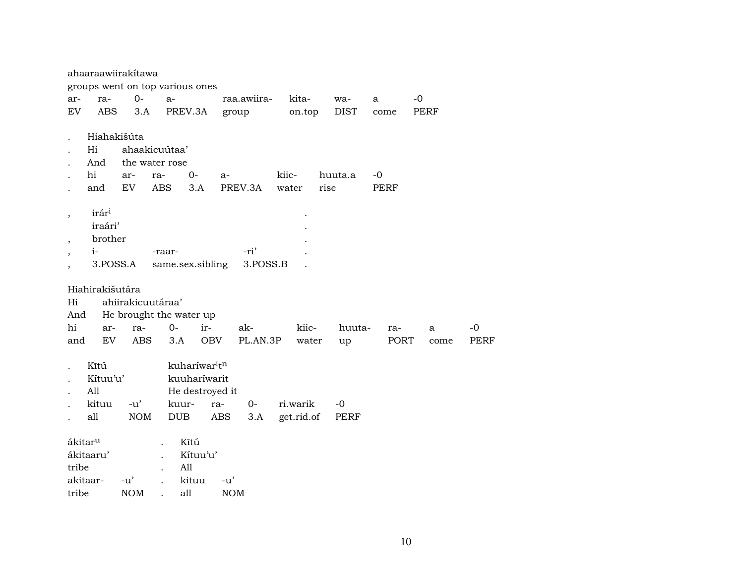|                          |                     | ahaaraawiirakitawa |                                 |                                       |             |            |             |             |              |             |
|--------------------------|---------------------|--------------------|---------------------------------|---------------------------------------|-------------|------------|-------------|-------------|--------------|-------------|
|                          |                     |                    | groups went on top various ones |                                       |             |            |             |             |              |             |
| ar-                      | ra-                 | $0-$               | $a-$                            |                                       | raa.awiira- | kita-      | wa-         | a           | $-0$         |             |
| EV                       | <b>ABS</b>          | 3.A                | PREV.3A                         |                                       | group       | on.top     | <b>DIST</b> | come        | PERF         |             |
|                          | Hiahakišúta         |                    |                                 |                                       |             |            |             |             |              |             |
|                          | Hi                  |                    | ahaakicuútaa'                   |                                       |             |            |             |             |              |             |
|                          | And                 |                    | the water rose                  |                                       |             |            |             |             |              |             |
|                          | hi                  | ar-                | ra-                             | $0 -$                                 | a-          | kiic-      | huuta.a     | -0          |              |             |
|                          | and                 | EV                 | <b>ABS</b>                      | 3.A                                   | PREV.3A     | water      | rise        | <b>PERF</b> |              |             |
| $\overline{\phantom{a}}$ | irári               |                    |                                 |                                       |             |            |             |             |              |             |
|                          | iraári'             |                    |                                 |                                       |             |            |             |             |              |             |
| $\overline{ }$           | brother             |                    |                                 |                                       |             |            |             |             |              |             |
|                          | $i-$                |                    | -raar-                          |                                       | -ri'        |            |             |             |              |             |
|                          | 3.POSS.A            |                    | same.sex.sibling                |                                       | 3.POSS.B    |            |             |             |              |             |
|                          | Hiahirakišutára     |                    |                                 |                                       |             |            |             |             |              |             |
| Hi                       |                     | ahiirakicuutáraa'  |                                 |                                       |             |            |             |             |              |             |
| And                      |                     |                    | He brought the water up         |                                       |             |            |             |             |              |             |
| hi                       | ar-                 | ra-                | $0-$                            | ir-                                   | ak-         | kiic-      | huuta-      | ra-         | $\mathbf{a}$ | $-0$        |
| and                      | EV                  | ABS                | 3.A                             | <b>OBV</b>                            | PL.AN.3P    | water      | up          | PORT        | come         | <b>PERF</b> |
|                          | Kĩtú                |                    |                                 | kuharíwar <sup>i</sup> t <sup>n</sup> |             |            |             |             |              |             |
|                          | Kítuu'u'            |                    |                                 | kuuharíwarit                          |             |            |             |             |              |             |
|                          | All                 |                    |                                 | He destroyed it                       |             |            |             |             |              |             |
|                          | kituu               | $-u'$              | kuur-                           | ra-                                   | $0-$        | ri.warik   | $-0$        |             |              |             |
|                          | all                 | <b>NOM</b>         | <b>DUB</b>                      | ABS                                   | 3.A         | get.rid.of | <b>PERF</b> |             |              |             |
|                          | ákitar <sup>u</sup> |                    |                                 | Kĩtú                                  |             |            |             |             |              |             |
|                          | ákitaaru'           |                    |                                 | Kítuu'u'                              |             |            |             |             |              |             |
| tribe                    |                     |                    | All                             |                                       |             |            |             |             |              |             |
|                          | akitaar-            | $-u'$              | $\ddot{\phantom{a}}$            | kituu                                 | $-u'$       |            |             |             |              |             |
| tribe                    |                     | <b>NOM</b>         | all                             |                                       | <b>NOM</b>  |            |             |             |              |             |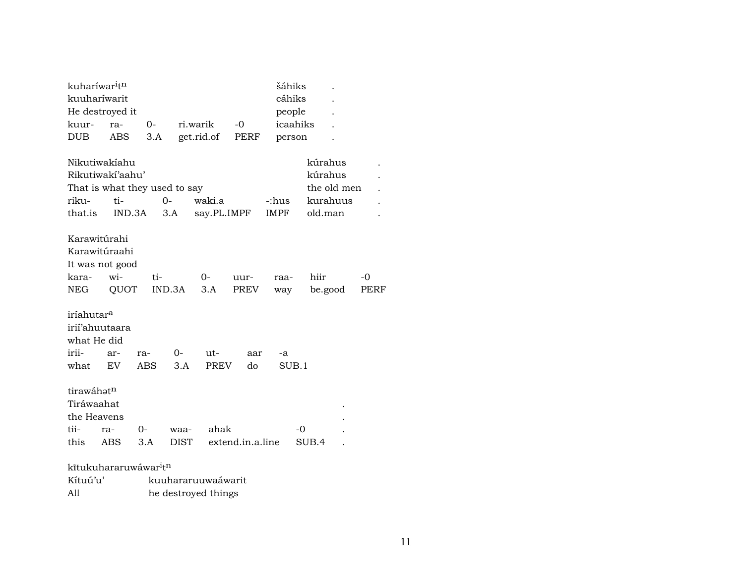| kuharíwar <sup>i</sup> t <sup>n</sup> |                 |                                               |             |                     |                  | šáhiks      |             |      |  |
|---------------------------------------|-----------------|-----------------------------------------------|-------------|---------------------|------------------|-------------|-------------|------|--|
| kuuharíwarit                          |                 |                                               |             |                     |                  | cáhiks      |             |      |  |
|                                       | He destroyed it |                                               |             |                     |                  | people      |             |      |  |
| kuur-                                 | ra-             | $0-$                                          |             | ri.warik            | -0               | icaahiks    |             |      |  |
| <b>DUB</b>                            | <b>ABS</b>      | 3.A                                           |             | get.rid.of          | PERF             | person      |             |      |  |
|                                       | Nikutiwakíahu   |                                               |             |                     |                  |             | kúrahus     |      |  |
| Rikutiwakí'aahu'                      |                 |                                               |             |                     |                  |             | kúrahus     |      |  |
|                                       |                 | That is what they used to say                 |             |                     |                  |             | the old men |      |  |
| riku-                                 | ti-             |                                               | $O -$       | waki.a<br>-:hus     |                  |             | kurahuus    |      |  |
| that.is                               |                 | IND.3A                                        | 3.A         | say.PL.IMPF         |                  | <b>IMPF</b> | old.man     |      |  |
| Karawitúrahi                          |                 |                                               |             |                     |                  |             |             |      |  |
|                                       | Karawitúraahi   |                                               |             |                     |                  |             |             |      |  |
| It was not good                       |                 |                                               |             |                     |                  |             |             |      |  |
| kara-                                 | wi-             | ti-                                           |             | $0-$                | uur-             | raa-        | hiir        | $-0$ |  |
| NEG                                   | QUOT            |                                               | IND.3A      | 3.A                 | <b>PREV</b>      | way         | be.good     | PERF |  |
|                                       |                 |                                               |             |                     |                  |             |             |      |  |
| iríahutar <sup>a</sup>                |                 |                                               |             |                     |                  |             |             |      |  |
| irií'ahuutaara                        |                 |                                               |             |                     |                  |             |             |      |  |
| what He did                           |                 |                                               |             |                     |                  |             |             |      |  |
| irii-                                 | ar-             | ra-                                           | 0-          | $ut -$              | aar              | -a          |             |      |  |
| what                                  | <b>EV</b>       | ABS                                           | 3.A         | <b>PREV</b>         | do               | SUB.1       |             |      |  |
|                                       |                 |                                               |             |                     |                  |             |             |      |  |
| tirawáhatn                            |                 |                                               |             |                     |                  |             |             |      |  |
| Tiráwaahat                            |                 |                                               |             |                     |                  |             |             |      |  |
| the Heavens                           |                 |                                               |             |                     |                  |             |             |      |  |
| tii-                                  | ra-             | 0-                                            | waa-        | ahak                |                  |             | -0          |      |  |
| this                                  | ABS             | 3.A                                           | <b>DIST</b> |                     | extend.in.a.line |             | SUB.4       |      |  |
|                                       |                 | kītukuhararuwáwar <sup>i</sup> t <sup>n</sup> |             |                     |                  |             |             |      |  |
| Kítuú'u'                              |                 |                                               |             | kuuhararuuwaáwarit  |                  |             |             |      |  |
| All                                   |                 |                                               |             | he destroyed things |                  |             |             |      |  |
|                                       |                 |                                               |             |                     |                  |             |             |      |  |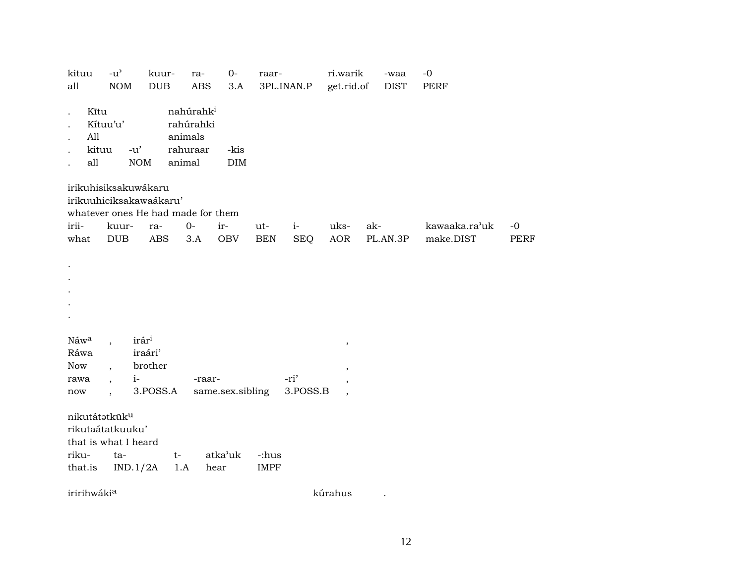| kituu<br>all                                        | $-u^{\prime}$<br>$\rm{NOM}$                                                                                    | kuur-<br>$_{\rm DUB}$                               | ra-<br>$\operatorname{ABS}$                                         | $0-$<br>3.A       | raar-                | 3PL.INAN.P         | ri.warik<br>get.rid.of                                         | -waa<br><b>DIST</b> | $-0$<br><b>PERF</b>        |                     |
|-----------------------------------------------------|----------------------------------------------------------------------------------------------------------------|-----------------------------------------------------|---------------------------------------------------------------------|-------------------|----------------------|--------------------|----------------------------------------------------------------|---------------------|----------------------------|---------------------|
| Kītu<br>All<br>all                                  | Kítuu'u'<br>kituu<br>$-u'$                                                                                     | <b>NOM</b>                                          | nahúrahk <sup>i</sup><br>rahúrahki<br>animals<br>rahuraar<br>animal | -kis<br>DIM       |                      |                    |                                                                |                     |                            |                     |
| irii-<br>what                                       | irikuhisiksakuwákaru<br>irikuuhiciksakawaákaru'<br>whatever ones He had made for them<br>kuur-<br>$_{\rm DUB}$ | ra-<br><b>ABS</b>                                   | $0-$<br>3.A                                                         | ir-<br><b>OBV</b> | ut-<br><b>BEN</b>    | $i-$<br><b>SEQ</b> | uks-<br>AOR                                                    | ak-<br>PL.AN.3P     | kawaaka.ra'uk<br>make.DIST | $-0$<br><b>PERF</b> |
|                                                     |                                                                                                                |                                                     |                                                                     |                   |                      |                    |                                                                |                     |                            |                     |
| Náwa<br>Ráwa<br>Now<br>rawa<br>$\operatorname{now}$ | $i-$<br>$\ddot{\phantom{0}}$                                                                                   | irár <sup>i</sup><br>iraári'<br>brother<br>3.POSS.A | -raar-                                                              | same.sex.sibling  |                      | -ri'<br>3.POSS.B   | $\, ,$<br>$\overline{\phantom{a}}$<br>$\overline{\phantom{a}}$ |                     |                            |                     |
| riku-<br>that.is                                    | nikutátatküku<br>rikutaátatkuuku'<br>that is what I heard<br>ta-<br>IND.1/2A                                   | $t-$                                                | 1.A                                                                 | atka'uk<br>hear   | -:hus<br><b>IMPF</b> |                    |                                                                |                     |                            |                     |
| iririhwákia                                         |                                                                                                                |                                                     |                                                                     |                   |                      |                    | kúrahus                                                        |                     |                            |                     |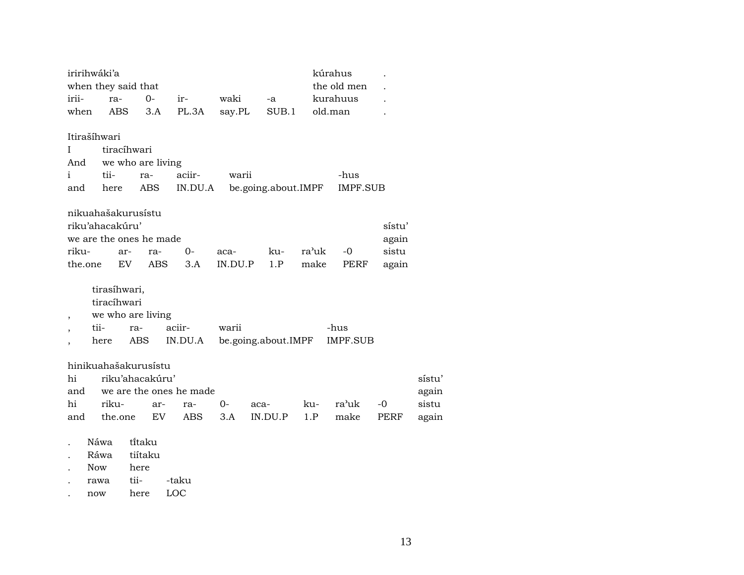| iririhwáki'a             |                                            |                         |         |             |                     |          | kúrahus         |        |        |  |  |  |
|--------------------------|--------------------------------------------|-------------------------|---------|-------------|---------------------|----------|-----------------|--------|--------|--|--|--|
|                          | when they said that                        |                         |         | the old men |                     |          |                 |        |        |  |  |  |
| irii-                    | $0 -$<br>ir-<br>ra-                        |                         | waki    | -a          |                     | kurahuus |                 |        |        |  |  |  |
| when                     | ABS                                        | 3.A                     | PL.3A   | say.PL      | SUB.1               |          | old.man         |        |        |  |  |  |
|                          |                                            |                         |         |             |                     |          |                 |        |        |  |  |  |
| Itirašíhwari             |                                            |                         |         |             |                     |          |                 |        |        |  |  |  |
| Ι                        | tiracíhwari                                |                         |         |             |                     |          |                 |        |        |  |  |  |
| And                      | we who are living                          |                         |         |             |                     |          |                 |        |        |  |  |  |
| $\mathbf{1}$             | tii-                                       | ra-                     | aciir-  | warii       |                     |          | -hus            |        |        |  |  |  |
| and                      | here                                       | ABS                     | IN.DU.A |             | be.going.about.IMPF |          | <b>IMPF.SUB</b> |        |        |  |  |  |
|                          |                                            |                         |         |             |                     |          |                 |        |        |  |  |  |
|                          | nikuahašakurusístu                         |                         |         |             |                     |          |                 |        |        |  |  |  |
|                          | riku'ahacakúru'                            |                         |         |             |                     |          |                 | sístu' |        |  |  |  |
|                          |                                            | we are the ones he made |         |             |                     |          |                 | again  |        |  |  |  |
| riku-                    | ar-                                        | ra-                     | $O -$   | aca-        | ku-                 | ra'uk    | $-0$            | sistu  |        |  |  |  |
| the.one                  | EV.                                        | ABS                     | 3.A     | IN.DU.P     | 1.P                 | make     | PERF            | again  |        |  |  |  |
|                          |                                            |                         |         |             |                     |          |                 |        |        |  |  |  |
|                          | tirasíhwari,                               |                         |         |             |                     |          |                 |        |        |  |  |  |
|                          | tiracíhwari                                |                         |         |             |                     |          |                 |        |        |  |  |  |
| $\overline{\phantom{a}}$ |                                            | we who are living       |         |             |                     |          |                 |        |        |  |  |  |
|                          | tii-                                       | ra-                     | aciir-  | warii       |                     |          | -hus            |        |        |  |  |  |
|                          | here                                       | ABS                     | IN.DU.A |             | be.going.about.IMPF |          | <b>IMPF.SUB</b> |        |        |  |  |  |
|                          |                                            |                         |         |             |                     |          |                 |        |        |  |  |  |
| hinikuahašakurusistu     |                                            |                         |         |             |                     |          |                 |        | sístu' |  |  |  |
| hi                       | riku'ahacakúru'<br>we are the ones he made |                         |         |             |                     |          |                 |        |        |  |  |  |
| and                      |                                            |                         |         |             |                     |          |                 |        | again  |  |  |  |
| hi                       | riku-                                      | ar-                     | ra-     | 0-          | aca-                | ku-      | ra'uk           | $-0$   | sistu  |  |  |  |
| and                      | the.one                                    | EV.                     | ABS     | 3.A         | IN.DU.P             | 1.P      | make            | PERF   | again  |  |  |  |
|                          | Náwa                                       | tītaku                  |         |             |                     |          |                 |        |        |  |  |  |
|                          |                                            |                         |         |             |                     |          |                 |        |        |  |  |  |

- . Ráwa tiítaku
- 
- . Now here<br>. rawa tii-. rawa tii- -taku
- . now here